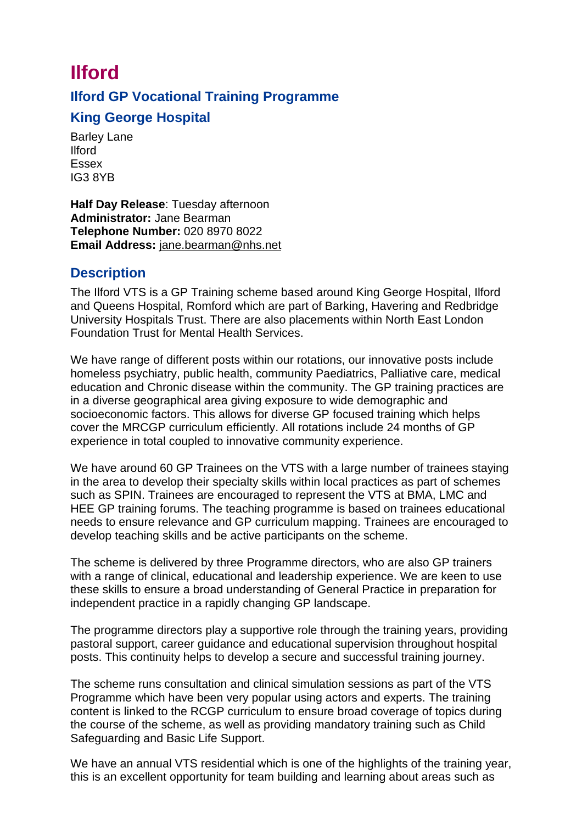## **Ilford Ilford GP Vocational Training Programme King George Hospital**

Barley Lane Ilford Essex IG3 8YB

**Half Day Release**: Tuesday afternoon **Administrator:** Jane Bearman **Telephone Number:** 020 8970 8022 **Email Address:** [jane.bearman@nhs.net](mailto:jane.bearman@nhs.net)

## **Description**

The Ilford VTS is a GP Training scheme based around King George Hospital, Ilford and Queens Hospital, Romford which are part of Barking, Havering and Redbridge University Hospitals Trust. There are also placements within North East London Foundation Trust for Mental Health Services.

We have range of different posts within our rotations, our innovative posts include homeless psychiatry, public health, community Paediatrics, Palliative care, medical education and Chronic disease within the community. The GP training practices are in a diverse geographical area giving exposure to wide demographic and socioeconomic factors. This allows for diverse GP focused training which helps cover the MRCGP curriculum efficiently. All rotations include 24 months of GP experience in total coupled to innovative community experience.

We have around 60 GP Trainees on the VTS with a large number of trainees staying in the area to develop their specialty skills within local practices as part of schemes such as SPIN. Trainees are encouraged to represent the VTS at BMA, LMC and HEE GP training forums. The teaching programme is based on trainees educational needs to ensure relevance and GP curriculum mapping. Trainees are encouraged to develop teaching skills and be active participants on the scheme.

The scheme is delivered by three Programme directors, who are also GP trainers with a range of clinical, educational and leadership experience. We are keen to use these skills to ensure a broad understanding of General Practice in preparation for independent practice in a rapidly changing GP landscape.

The programme directors play a supportive role through the training years, providing pastoral support, career guidance and educational supervision throughout hospital posts. This continuity helps to develop a secure and successful training journey.

The scheme runs consultation and clinical simulation sessions as part of the VTS Programme which have been very popular using actors and experts. The training content is linked to the RCGP curriculum to ensure broad coverage of topics during the course of the scheme, as well as providing mandatory training such as Child Safeguarding and Basic Life Support.

We have an annual VTS residential which is one of the highlights of the training year, this is an excellent opportunity for team building and learning about areas such as